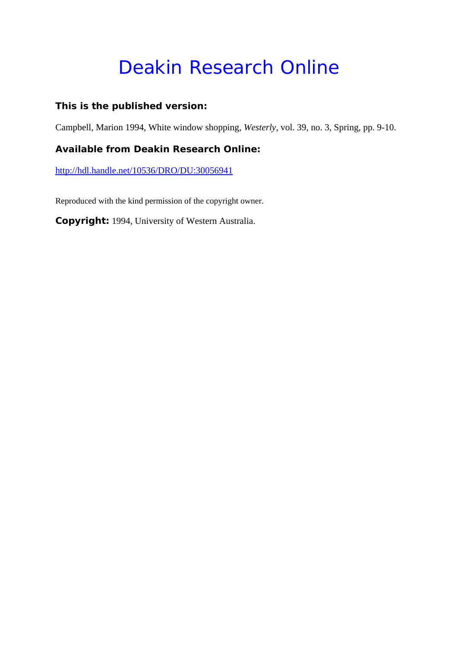# Deakin Research Online

#### **This is the published version:**

Campbell, Marion 1994, White window shopping*, Westerly*, vol. 39, no. 3, Spring, pp. 9-10.

#### **Available from Deakin Research Online:**

http://hdl.handle.net/10536/DRO/DU:30056941

Reproduced with the kind permission of the copyright owner.

**Copyright:** 1994, University of Western Australia.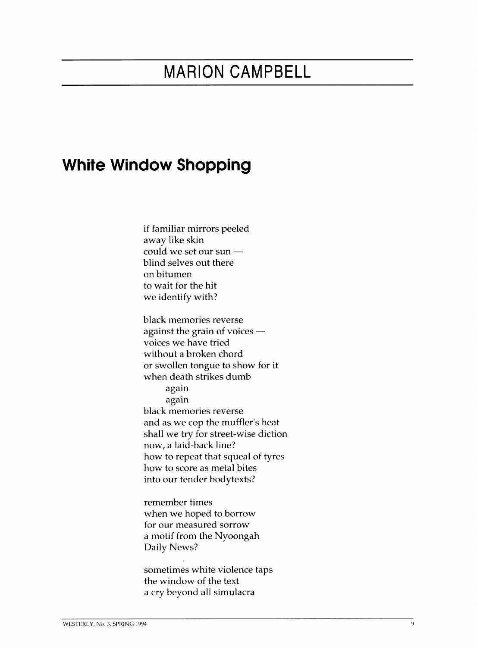## **MARION CAMPBELL**

### **White Window Shopping**

if familiar mirrors peeled away like skin could we set our sun  $$ blind selves out there on bitumen to wait for the hit we identify with?

black memories reverse against the grain of voices  $$ voices we have tried without a broken chord or swollen tongue to show for it when death strikes dumb again again black memories reverse and as we cop the muffler's heat shall we try for street-wise diction now, a laid-back line? how to repeat that squeal of tyres how to score as metal bites into our tender bodytexts?

remember times when we hoped to borrow for our measured sorrow a motif from the Nyoongah Daily News?

sometimes white violence taps the window of the text a cry beyond all simulacra